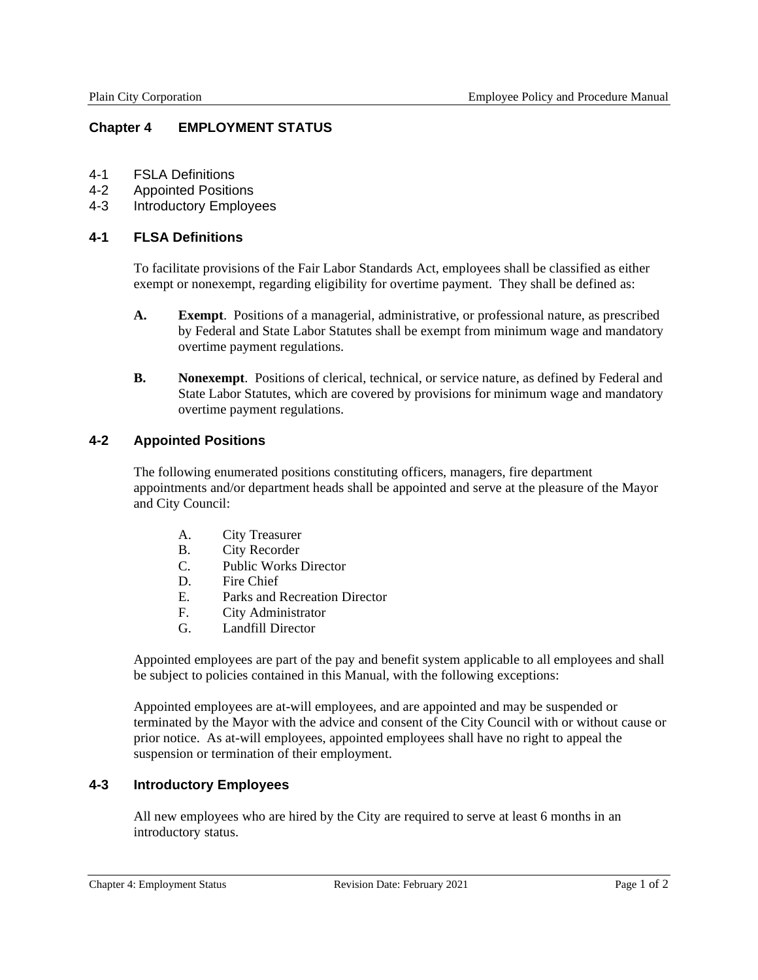## **Chapter 4 EMPLOYMENT STATUS**

- 4-1 FSLA Definitions
- 4-2 Appointed Positions
- 4-3 Introductory Employees

## **4-1 FLSA Definitions**

To facilitate provisions of the Fair Labor Standards Act, employees shall be classified as either exempt or nonexempt, regarding eligibility for overtime payment. They shall be defined as:

- **A. Exempt**. Positions of a managerial, administrative, or professional nature, as prescribed by Federal and State Labor Statutes shall be exempt from minimum wage and mandatory overtime payment regulations.
- **B.** Nonexempt. Positions of clerical, technical, or service nature, as defined by Federal and State Labor Statutes, which are covered by provisions for minimum wage and mandatory overtime payment regulations.

## **4-2 Appointed Positions**

The following enumerated positions constituting officers, managers, fire department appointments and/or department heads shall be appointed and serve at the pleasure of the Mayor and City Council:

- A. City Treasurer
- B. City Recorder
- C. Public Works Director
- D. Fire Chief
- E. Parks and Recreation Director
- F. City Administrator
- G. Landfill Director

Appointed employees are part of the pay and benefit system applicable to all employees and shall be subject to policies contained in this Manual, with the following exceptions:

Appointed employees are at-will employees, and are appointed and may be suspended or terminated by the Mayor with the advice and consent of the City Council with or without cause or prior notice. As at-will employees, appointed employees shall have no right to appeal the suspension or termination of their employment.

## **4-3 Introductory Employees**

All new employees who are hired by the City are required to serve at least 6 months in an introductory status.